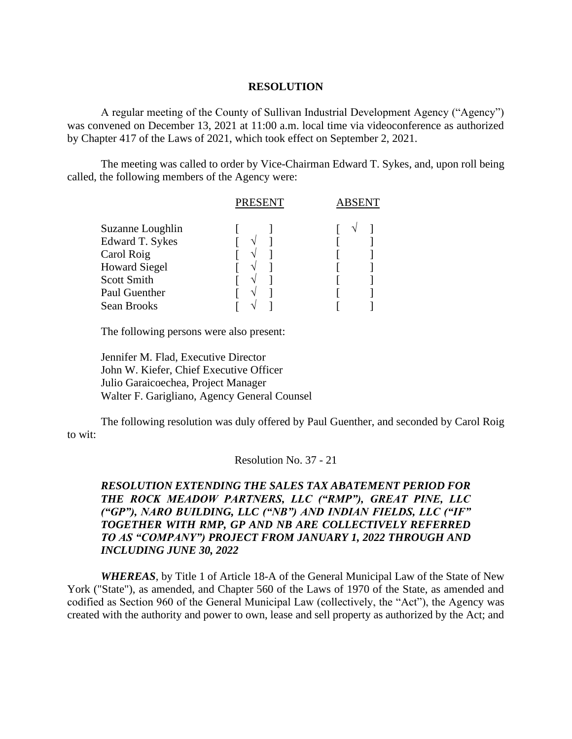## **RESOLUTION**

A regular meeting of the County of Sullivan Industrial Development Agency ("Agency") was convened on December 13, 2021 at 11:00 a.m. local time via videoconference as authorized by Chapter 417 of the Laws of 2021, which took effect on September 2, 2021.

The meeting was called to order by Vice-Chairman Edward T. Sykes, and, upon roll being called, the following members of the Agency were:

|                      | <b>PRESENT</b> | ABSENT |  |
|----------------------|----------------|--------|--|
| Suzanne Loughlin     |                |        |  |
| Edward T. Sykes      |                |        |  |
| Carol Roig           |                |        |  |
| <b>Howard Siegel</b> |                |        |  |
| <b>Scott Smith</b>   |                |        |  |
| Paul Guenther        |                |        |  |
| Sean Brooks          |                |        |  |
|                      |                |        |  |

The following persons were also present:

Jennifer M. Flad, Executive Director John W. Kiefer, Chief Executive Officer Julio Garaicoechea, Project Manager Walter F. Garigliano, Agency General Counsel

The following resolution was duly offered by Paul Guenther, and seconded by Carol Roig to wit:

Resolution No. 37 - 21

## *RESOLUTION EXTENDING THE SALES TAX ABATEMENT PERIOD FOR THE ROCK MEADOW PARTNERS, LLC ("RMP"), GREAT PINE, LLC ("GP"), NARO BUILDING, LLC ("NB") AND INDIAN FIELDS, LLC ("IF" TOGETHER WITH RMP, GP AND NB ARE COLLECTIVELY REFERRED TO AS "COMPANY") PROJECT FROM JANUARY 1, 2022 THROUGH AND INCLUDING JUNE 30, 2022*

*WHEREAS*, by Title 1 of Article 18-A of the General Municipal Law of the State of New York ("State"), as amended, and Chapter 560 of the Laws of 1970 of the State, as amended and codified as Section 960 of the General Municipal Law (collectively, the "Act"), the Agency was created with the authority and power to own, lease and sell property as authorized by the Act; and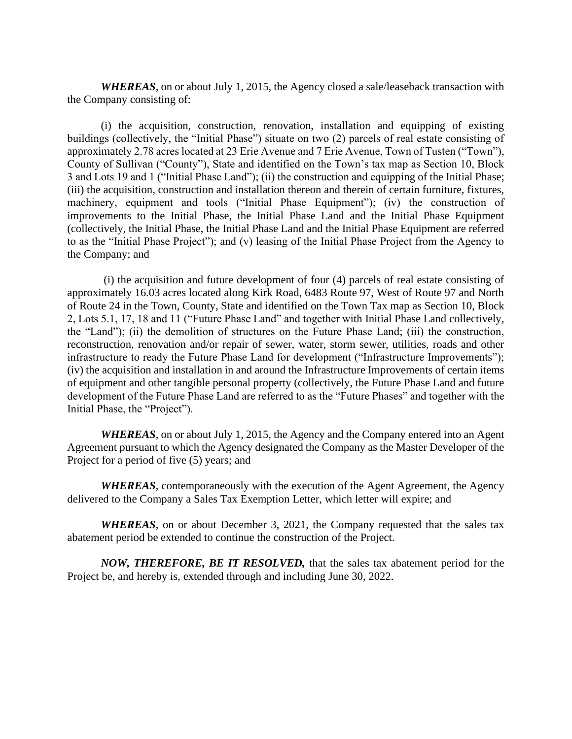*WHEREAS*, on or about July 1, 2015, the Agency closed a sale/leaseback transaction with the Company consisting of:

(i) the acquisition, construction, renovation, installation and equipping of existing buildings (collectively, the "Initial Phase") situate on two (2) parcels of real estate consisting of approximately 2.78 acres located at 23 Erie Avenue and 7 Erie Avenue, Town of Tusten ("Town"), County of Sullivan ("County"), State and identified on the Town's tax map as Section 10, Block 3 and Lots 19 and 1 ("Initial Phase Land"); (ii) the construction and equipping of the Initial Phase; (iii) the acquisition, construction and installation thereon and therein of certain furniture, fixtures, machinery, equipment and tools ("Initial Phase Equipment"); (iv) the construction of improvements to the Initial Phase, the Initial Phase Land and the Initial Phase Equipment (collectively, the Initial Phase, the Initial Phase Land and the Initial Phase Equipment are referred to as the "Initial Phase Project"); and (v) leasing of the Initial Phase Project from the Agency to the Company; and

(i) the acquisition and future development of four (4) parcels of real estate consisting of approximately 16.03 acres located along Kirk Road, 6483 Route 97, West of Route 97 and North of Route 24 in the Town, County, State and identified on the Town Tax map as Section 10, Block 2, Lots 5.1, 17, 18 and 11 ("Future Phase Land" and together with Initial Phase Land collectively, the "Land"); (ii) the demolition of structures on the Future Phase Land; (iii) the construction, reconstruction, renovation and/or repair of sewer, water, storm sewer, utilities, roads and other infrastructure to ready the Future Phase Land for development ("Infrastructure Improvements"); (iv) the acquisition and installation in and around the Infrastructure Improvements of certain items of equipment and other tangible personal property (collectively, the Future Phase Land and future development of the Future Phase Land are referred to as the "Future Phases" and together with the Initial Phase, the "Project").

*WHEREAS*, on or about July 1, 2015, the Agency and the Company entered into an Agent Agreement pursuant to which the Agency designated the Company as the Master Developer of the Project for a period of five (5) years; and

*WHEREAS*, contemporaneously with the execution of the Agent Agreement, the Agency delivered to the Company a Sales Tax Exemption Letter, which letter will expire; and

*WHEREAS*, on or about December 3, 2021, the Company requested that the sales tax abatement period be extended to continue the construction of the Project.

*NOW, THEREFORE, BE IT RESOLVED,* that the sales tax abatement period for the Project be, and hereby is, extended through and including June 30, 2022.